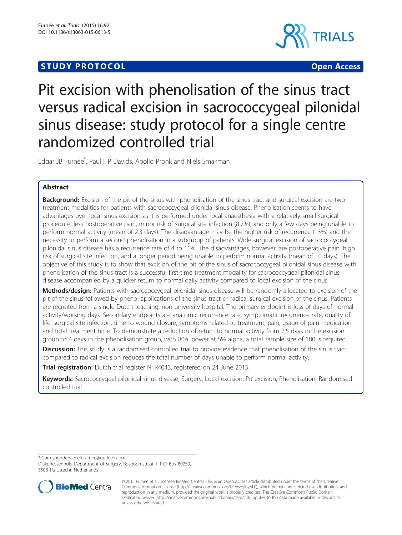## **STUDY PROTOCOL CONSUMING THE RESERVE ACCESS**



# Pit excision with phenolisation of the sinus tract versus radical excision in sacrococcygeal pilonidal sinus disease: study protocol for a single centre randomized controlled trial

Edgar JB Furnée\* , Paul HP Davids, Apollo Pronk and Niels Smakman

## Abstract

**Background:** Excision of the pit of the sinus with phenolisation of the sinus tract and surgical excision are two treatment modalities for patients with sacrococcygeal pilonidal sinus disease. Phenolisation seems to have advantages over local sinus excision as it is performed under local anaesthesia with a relatively small surgical procedure, less postoperative pain, minor risk of surgical site infection (8.7%), and only a few days being unable to perform normal activity (mean of 2.3 days). The disadvantage may be the higher risk of recurrence (13%) and the necessity to perform a second phenolisation in a subgroup of patients. Wide surgical excision of sacrococcygeal pilonidal sinus disease has a recurrence rate of 4 to 11%. The disadvantages, however, are postoperative pain, high risk of surgical site infection, and a longer period being unable to perform normal activity (mean of 10 days). The objective of this study is to show that excision of the pit of the sinus of sacrococcygeal pilonidal sinus disease with phenolisation of the sinus tract is a successful first-time treatment modality for sacrococcygeal pilonidal sinus disease accompanied by a quicker return to normal daily activity compared to local excision of the sinus.

Methods/design: Patients with sacrococcygeal pilonidal sinus disease will be randomly allocated to excision of the pit of the sinus followed by phenol applications of the sinus tract or radical surgical excision of the sinus. Patients are recruited from a single Dutch teaching, non-university hospital. The primary endpoint is loss of days of normal activity/working days. Secondary endpoints are anatomic recurrence rate, symptomatic recurrence rate, quality of life, surgical site infection, time to wound closure, symptoms related to treatment, pain, usage of pain medication and total treatment time. To demonstrate a reduction of return to normal activity from 7.5 days in the excision group to 4 days in the phenolisation group, with 80% power at 5% alpha, a total sample size of 100 is required.

Discussion: This study is a randomised controlled trial to provide evidence that phenolisation of the sinus tract compared to radical excision reduces the total number of days unable to perform normal activity.

Trial registration: Dutch trial register [NTR4043](http://www.trialregister.nl/trialreg/admin/rctview.asp?TC=4043), registered on 24 June 2013.

Keywords: Sacrococcygeal pilonidal sinus disease, Surgery, Local excision, Pit excision, Phenolisation, Randomised controlled trial

\* Correspondence: [ejbfurnee@outlook.com](mailto:ejbfurnee@outlook.com)

Diakonessenhuis, Department of Surgery, Bosboomstraat 1, P.O. Box 80250, 3508 TG Utrecht, Netherlands



<sup>© 2015</sup> Furnee et al.; licensee BioMed Central. This is an Open Access article distributed under the terms of the Creative Commons Attribution License [\(http://creativecommons.org/licenses/by/4.0\)](http://creativecommons.org/licenses/by/4.0), which permits unrestricted use, distribution, and reproduction in any medium, provided the original work is properly credited. The Creative Commons Public Domain Dedication waiver [\(http://creativecommons.org/publicdomain/zero/1.0/](http://creativecommons.org/publicdomain/zero/1.0/)) applies to the data made available in this article, unless otherwise stated.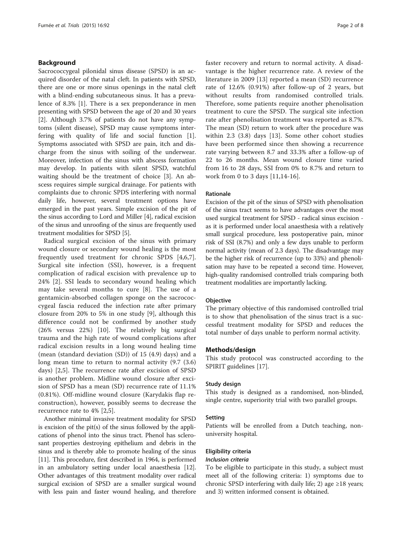## Background

Sacrococcygeal pilonidal sinus disease (SPSD) is an acquired disorder of the natal cleft. In patients with SPSD, there are one or more sinus openings in the natal cleft with a blind-ending subcutaneous sinus. It has a prevalence of 8.3% [\[1\]](#page-7-0). There is a sex preponderance in men presenting with SPSD between the age of 20 and 30 years [[2\]](#page-7-0). Although 3.7% of patients do not have any symptoms (silent disease), SPSD may cause symptoms interfering with quality of life and social function [\[1](#page-7-0)]. Symptoms associated with SPSD are pain, itch and discharge from the sinus with soiling of the underwear. Moreover, infection of the sinus with abscess formation may develop. In patients with silent SPSD, watchful waiting should be the treatment of choice [[3\]](#page-7-0). An abscess requires simple surgical drainage. For patients with complaints due to chronic SPDS interfering with normal daily life, however, several treatment options have emerged in the past years. Simple excision of the pit of the sinus according to Lord and Miller [[4](#page-7-0)], radical excision of the sinus and unroofing of the sinus are frequently used treatment modalities for SPSD [\[5\]](#page-7-0).

Radical surgical excision of the sinus with primary wound closure or secondary wound healing is the most frequently used treatment for chronic SPDS [[4,6,7](#page-7-0)]. Surgical site infection (SSI), however, is a frequent complication of radical excision with prevalence up to 24% [\[2](#page-7-0)]. SSI leads to secondary wound healing which may take several months to cure [[8\]](#page-7-0). The use of a gentamicin-absorbed collagen sponge on the sacrococcygeal fascia reduced the infection rate after primary closure from 20% to 5% in one study [\[9](#page-7-0)], although this difference could not be confirmed by another study (26% versus 22%) [[10\]](#page-7-0). The relatively big surgical trauma and the high rate of wound complications after radical excision results in a long wound healing time (mean (standard deviation (SD)) of 15 (4.9) days) and a long mean time to return to normal activity (9.7 (3.6) days) [\[2,5](#page-7-0)]. The recurrence rate after excision of SPSD is another problem. Midline wound closure after excision of SPSD has a mean (SD) recurrence rate of 11.1% (0.81%). Off-midline wound closure (Karydakis flap reconstruction), however, possibly seems to decrease the recurrence rate to 4% [[2,5](#page-7-0)].

Another minimal invasive treatment modality for SPSD is excision of the pit(s) of the sinus followed by the applications of phenol into the sinus tract. Phenol has sclerosant properties destroying epithelium and debris in the sinus and is thereby able to promote healing of the sinus [[11](#page-7-0)]. This procedure, first described in 1964, is performed in an ambulatory setting under local anaesthesia [[12](#page-7-0)]. Other advantages of this treatment modality over radical surgical excision of SPSD are a smaller surgical wound with less pain and faster wound healing, and therefore faster recovery and return to normal activity. A disadvantage is the higher recurrence rate. A review of the literature in 2009 [[13\]](#page-7-0) reported a mean (SD) recurrence rate of 12.6% (0.91%) after follow-up of 2 years, but without results from randomised controlled trials. Therefore, some patients require another phenolisation treatment to cure the SPSD. The surgical site infection rate after phenolisation treatment was reported as 8.7%. The mean (SD) return to work after the procedure was within 2.3 (3.8) days [[13\]](#page-7-0). Some other cohort studies have been performed since then showing a recurrence rate varying between 8.7 and 33.3% after a follow-up of 22 to 26 months. Mean wound closure time varied from 16 to 28 days, SSI from 0% to 8.7% and return to work from 0 to 3 days [[11,14-16](#page-7-0)].

## Rationale

Excision of the pit of the sinus of SPSD with phenolisation of the sinus tract seems to have advantages over the most used surgical treatment for SPSD - radical sinus excision as it is performed under local anaesthesia with a relatively small surgical procedure, less postoperative pain, minor risk of SSI (8.7%) and only a few days unable to perform normal activity (mean of 2.3 days). The disadvantage may be the higher risk of recurrence (up to 33%) and phenolisation may have to be repeated a second time. However, high-quality randomised controlled trials comparing both treatment modalities are importantly lacking.

## **Objective**

The primary objective of this randomised controlled trial is to show that phenolisation of the sinus tract is a successful treatment modality for SPSD and reduces the total number of days unable to perform normal activity.

## Methods/design

This study protocol was constructed according to the SPIRIT guidelines [[17](#page-7-0)].

#### Study design

This study is designed as a randomised, non-blinded, single centre, superiority trial with two parallel groups.

## Setting

Patients will be enrolled from a Dutch teaching, nonuniversity hospital.

## Eligibility criteria

#### Inclusion criteria

To be eligible to participate in this study, a subject must meet all of the following criteria: 1) symptoms due to chronic SPSD interfering with daily life; 2) age  $\geq$ 18 years; and 3) written informed consent is obtained.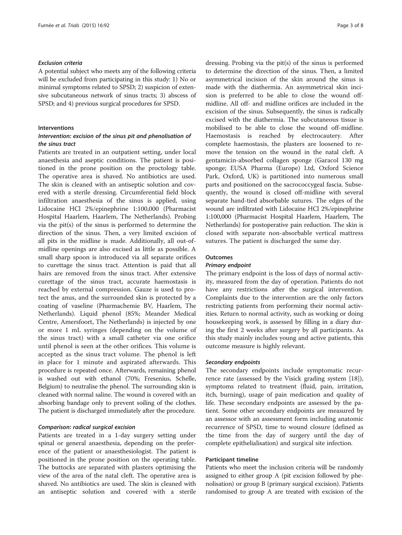### Exclusion criteria

A potential subject who meets any of the following criteria will be excluded from participating in this study: 1) No or minimal symptoms related to SPSD; 2) suspicion of extensive subcutaneous network of sinus tracts; 3) abscess of SPSD; and 4) previous surgical procedures for SPSD.

## Interventions

## Intervention: excision of the sinus pit and phenolisation of the sinus tract

Patients are treated in an outpatient setting, under local anaesthesia and aseptic conditions. The patient is positioned in the prone position on the proctology table. The operative area is shaved. No antibiotics are used. The skin is cleaned with an antiseptic solution and covered with a sterile dressing. Circumferential field block infiltration anaesthesia of the sinus is applied, using Lidocaine HCl 2%/epinephrine 1:100,000 (Pharmacist Hospital Haarlem, Haarlem, The Netherlands). Probing via the pit(s) of the sinus is performed to determine the direction of the sinus. Then, a very limited excision of all pits in the midline is made. Additionally, all out-ofmidline openings are also excised as little as possible. A small sharp spoon is introduced via all separate orifices to curettage the sinus tract. Attention is paid that all hairs are removed from the sinus tract. After extensive curettage of the sinus tract, accurate haemostasis is reached by external compression. Gauze is used to protect the anus, and the surrounded skin is protected by a coating of vaseline (Pharmachemie BV, Haarlem, The Netherlands). Liquid phenol (85%; Meander Medical Centre, Amersfoort, The Netherlands) is injected by one or more 1 mL syringes (depending on the volume of the sinus tract) with a small catheter via one orifice until phenol is seen at the other orifices. This volume is accepted as the sinus tract volume. The phenol is left in place for 1 minute and aspirated afterwards. This procedure is repeated once. Afterwards, remaining phenol is washed out with ethanol (70%; Fresenius, Schelle, Belgium) to neutralise the phenol. The surrounding skin is cleaned with normal saline. The wound is covered with an absorbing bandage only to prevent soiling of the clothes. The patient is discharged immediately after the procedure.

## Comparison: radical surgical excision

Patients are treated in a 1-day surgery setting under spinal or general anaesthesia, depending on the preference of the patient or anaesthesiologist. The patient is positioned in the prone position on the operating table. The buttocks are separated with plasters optimising the view of the area of the natal cleft. The operative area is shaved. No antibiotics are used. The skin is cleaned with an antiseptic solution and covered with a sterile dressing. Probing via the pit(s) of the sinus is performed to determine the direction of the sinus. Then, a limited asymmetrical incision of the skin around the sinus is made with the diathermia. An asymmetrical skin incision is preferred to be able to close the wound offmidline. All off- and midline orifices are included in the excision of the sinus. Subsequently, the sinus is radically excised with the diathermia. The subcutaneous tissue is mobilised to be able to close the wound off-midline. Haemostasis is reached by electrocautery. After complete haemostasis, the plasters are loosened to remove the tension on the wound in the natal cleft. A gentamicin-absorbed collagen sponge (Garacol 130 mg sponge; EUSA Pharma (Europe) Ltd, Oxford Science Park, Oxford, UK) is partitioned into numerous small parts and positioned on the sacrococcygeal fascia. Subsequently, the wound is closed off-midline with several separate hand-tied absorbable sutures. The edges of the wound are infiltrated with Lidocaine HCl 2%/epinephrine 1:100,000 (Pharmacist Hospital Haarlem, Haarlem, The Netherlands) for postoperative pain reduction. The skin is closed with separate non-absorbable vertical mattress sutures. The patient is discharged the same day.

## **Outcomes**

#### Primary endpoint

The primary endpoint is the loss of days of normal activity, measured from the day of operation. Patients do not have any restrictions after the surgical intervention. Complaints due to the intervention are the only factors restricting patients from performing their normal activities. Return to normal activity, such as working or doing housekeeping work, is assessed by filling in a diary during the first 2 weeks after surgery by all participants. As this study mainly includes young and active patients, this outcome measure is highly relevant.

## Secondary endpoints

The secondary endpoints include symptomatic recurrence rate (assessed by the Visick grading system [\[18](#page-7-0)]), symptoms related to treatment (fluid, pain, irritation, itch, burning), usage of pain medication and quality of life. These secondary endpoints are assessed by the patient. Some other secondary endpoints are measured by an assessor with an assessment form including anatomic recurrence of SPSD, time to wound closure (defined as the time from the day of surgery until the day of complete epithelialisation) and surgical site infection.

#### Participant timeline

Patients who meet the inclusion criteria will be randomly assigned to either group A (pit excision followed by phenolisation) or group B (primary surgical excision). Patients randomised to group A are treated with excision of the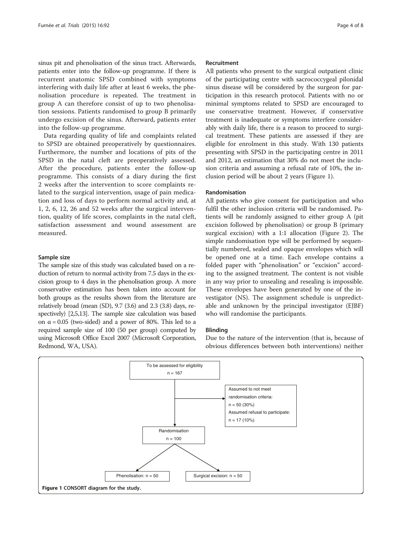sinus pit and phenolisation of the sinus tract. Afterwards, patients enter into the follow-up programme. If there is recurrent anatomic SPSD combined with symptoms interfering with daily life after at least 6 weeks, the phenolisation procedure is repeated. The treatment in group A can therefore consist of up to two phenolisation sessions. Patients randomised to group B primarily undergo excision of the sinus. Afterward, patients enter into the follow-up programme.

Data regarding quality of life and complaints related to SPSD are obtained preoperatively by questionnaires. Furthermore, the number and locations of pits of the SPSD in the natal cleft are preoperatively assessed. After the procedure, patients enter the follow-up programme. This consists of a diary during the first 2 weeks after the intervention to score complaints related to the surgical intervention, usage of pain medication and loss of days to perform normal activity and, at 1, 2, 6, 12, 26 and 52 weeks after the surgical intervention, quality of life scores, complaints in the natal cleft, satisfaction assessment and wound assessment are measured.

## Sample size

The sample size of this study was calculated based on a reduction of return to normal activity from 7.5 days in the excision group to 4 days in the phenolisation group. A more conservative estimation has been taken into account for both groups as the results shown from the literature are relatively broad (mean (SD), 9.7 (3.6) and 2.3 (3.8) days, respectively) [\[2,5,13\]](#page-7-0). The sample size calculation was based on  $\alpha$  = 0.05 (two-sided) and a power of 80%. This led to a required sample size of 100 (50 per group) computed by using Microsoft Office Excel 2007 (Microsoft Corporation, Redmond, WA, USA).

#### Recruitment

All patients who present to the surgical outpatient clinic of the participating centre with sacrococcygeal pilonidal sinus disease will be considered by the surgeon for participation in this research protocol. Patients with no or minimal symptoms related to SPSD are encouraged to use conservative treatment. However, if conservative treatment is inadequate or symptoms interfere considerably with daily life, there is a reason to proceed to surgical treatment. These patients are assessed if they are eligible for enrolment in this study. With 130 patients presenting with SPSD in the participating centre in 2011 and 2012, an estimation that 30% do not meet the inclusion criteria and assuming a refusal rate of 10%, the inclusion period will be about 2 years (Figure 1).

## Randomisation

All patients who give consent for participation and who fulfil the other inclusion criteria will be randomised. Patients will be randomly assigned to either group A (pit excision followed by phenolisation) or group B (primary surgical excision) with a 1:1 allocation (Figure [2](#page-4-0)). The simple randomisation type will be performed by sequentially numbered, sealed and opaque envelopes which will be opened one at a time. Each envelope contains a folded paper with "phenolisation" or "excision" according to the assigned treatment. The content is not visible in any way prior to unsealing and resealing is impossible. These envelopes have been generated by one of the investigator (NS). The assignment schedule is unpredictable and unknown by the principal investigator (EJBF) who will randomise the participants.

### Blinding

Due to the nature of the intervention (that is, because of obvious differences between both interventions) neither

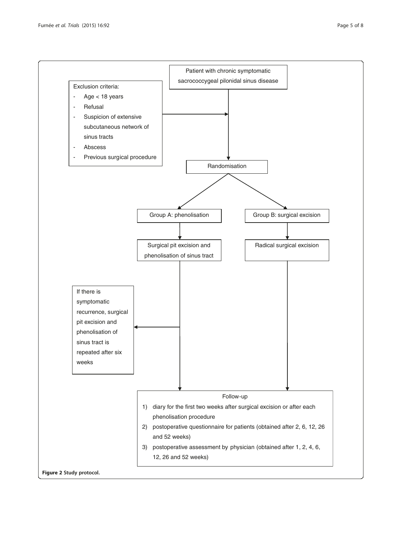<span id="page-4-0"></span>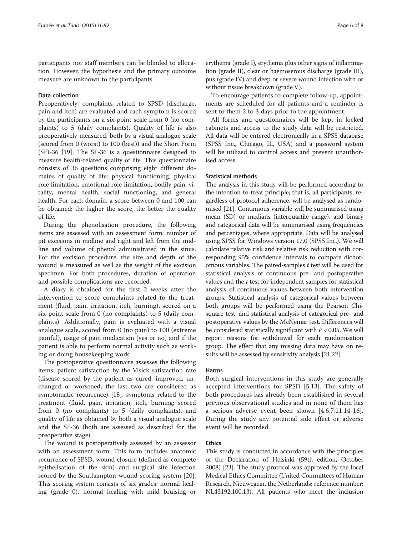participants nor staff members can be blinded to allocation. However, the hypothesis and the primary outcome measure are unknown to the participants.

## Data collection

Preoperatively, complaints related to SPSD (discharge, pain and itch) are evaluated and each symptom is scored by the participants on a six-point scale from 0 (no complaints) to 5 (daily complaints). Quality of life is also preoperatively measured, both by a visual analogue scale (scored from 0 (worst) to 100 (best)) and the Short Form (SF)-36 [\[19](#page-7-0)]. The SF-36 is a questionnaire designed to measure health-related quality of life. This questionnaire consists of 36 questions comprising eight different domains of quality of life: physical functioning, physical role limitation, emotional role limitation, bodily pain, vitality, mental health, social functioning, and general health. For each domain, a score between 0 and 100 can be obtained; the higher the score, the better the quality of life.

During the phenolisation procedure, the following items are assessed with an assessment form: number of pit excisions in midline and right and left from the midline and volume of phenol administrated in the sinus. For the excision procedure, the size and depth of the wound is measured as well as the weight of the excision specimen. For both procedures, duration of operation and possible complications are recorded.

A diary is obtained for the first 2 weeks after the intervention to score complaints related to the treatment (fluid, pain, irritation, itch, burning), scored on a six-point scale from 0 (no complaints) to 5 (daily complaints). Additionally, pain is evaluated with a visual analogue scale, scored from 0 (no pain) to 100 (extreme painful), usage of pain medication (yes or no) and if the patient is able to perform normal activity such as working or doing housekeeping work.

The postoperative questionnaire assesses the following items: patient satisfaction by the Visick satisfaction rate (disease scored by the patient as cured, improved, unchanged or worsened; the last two are considered as symptomatic recurrence) [[18\]](#page-7-0), symptoms related to the treatment (fluid, pain, irritation, itch, burning; scored from 0 (no complaints) to 5 (daily complaints), and quality of life as obtained by both a visual analogue scale and the SF-36 (both are assessed as described for the preoperative stage).

The wound is postoperatively assessed by an assessor with an assessment form. This form includes anatomic recurrence of SPSD, wound closure (defined as complete epithelisation of the skin) and surgical site infection scored by the Southampton wound scoring system [\[20](#page-7-0)]. This scoring system consists of six grades: normal healing (grade 0), normal healing with mild bruising or

erythema (grade I), erythema plus other signs of inflammation (grade II), clear or haemoserous discharge (grade III), pus (grade IV) and deep or severe wound infection with or without tissue breakdown (grade V).

To encourage patients to complete follow-up, appointments are scheduled for all patients and a reminder is sent to them 2 to 3 days prior to the appointment.

All forms and questionnaires will be kept in locked cabinets and access to the study data will be restricted. All data will be entered electronically in a SPSS database (SPSS Inc., Chicago, IL, USA) and a password system will be utilized to control access and prevent unauthorised access.

#### Statistical methods

The analysis in this study will be performed according to the intention-to-treat principle; that is, all participants, regardless of protocol adherence, will be analysed as randomised [\[21](#page-7-0)]. Continuous variable will be summarised using mean (SD) or medians (interquartile range), and binary and categorical data will be summarised using frequencies and percentages, where appropriate. Data will be analysed using SPSS for Windows version 17.0 (SPSS Inc.). We will calculate relative risk and relative risk reduction with corresponding 95% confidence intervals to compare dichotomous variables. The paired-samples  $t$  test will be used for statistical analysis of continuous pre- and postoperative values and the  $t$  test for independent samples for statistical analysis of continuous values between both intervention groups. Statistical analysis of categorical values between both groups will be performed using the Pearson Chisquare test, and statistical analysis of categorical pre- and postoperative values by the McNemar test. Differences will be considered statistically significant with  $P < 0.05$ . We will report reasons for withdrawal for each randomisation group. The effect that any missing data may have on results will be assessed by sensitivity analysis [[21,22](#page-7-0)].

## Harms

Both surgical interventions in this study are generally accepted interventions for SPSD [\[5](#page-7-0),[13\]](#page-7-0). The safety of both procedures has already been established in several previous observational studies and in none of them has a serious adverse event been shown [\[4](#page-7-0),[6,7,11,14-16](#page-7-0)]. During the study any potential side effect or adverse event will be recorded.

## **Ethics**

This study is conducted in accordance with the principles of the Declaration of Helsinki (59th edition, October 2008) [[23](#page-7-0)]. The study protocol was approved by the local Medical Ethics Committee (United Committees of Human Research, Nieuwegein, the Netherlands; reference number: NL43192.100.13). All patients who meet the inclusion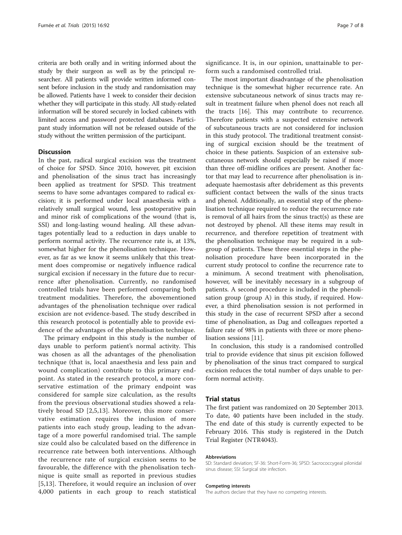criteria are both orally and in writing informed about the study by their surgeon as well as by the principal researcher. All patients will provide written informed consent before inclusion in the study and randomisation may be allowed. Patients have 1 week to consider their decision whether they will participate in this study. All study-related information will be stored securely in locked cabinets with limited access and password protected databases. Participant study information will not be released outside of the study without the written permission of the participant.

## **Discussion**

In the past, radical surgical excision was the treatment of choice for SPSD. Since 2010, however, pit excision and phenolisation of the sinus tract has increasingly been applied as treatment for SPSD. This treatment seems to have some advantages compared to radical excision; it is performed under local anaesthesia with a relatively small surgical wound, less postoperative pain and minor risk of complications of the wound (that is, SSI) and long-lasting wound healing. All these advantages potentially lead to a reduction in days unable to perform normal activity. The recurrence rate is, at 13%, somewhat higher for the phenolisation technique. However, as far as we know it seems unlikely that this treatment does compromise or negatively influence radical surgical excision if necessary in the future due to recurrence after phenolisation. Currently, no randomised controlled trials have been performed comparing both treatment modalities. Therefore, the abovementioned advantages of the phenolisation technique over radical excision are not evidence-based. The study described in this research protocol is potentially able to provide evidence of the advantages of the phenolisation technique.

The primary endpoint in this study is the number of days unable to perform patient's normal activity. This was chosen as all the advantages of the phenolisation technique (that is, local anaesthesia and less pain and wound complication) contribute to this primary endpoint. As stated in the research protocol, a more conservative estimation of the primary endpoint was considered for sample size calculation, as the results from the previous observational studies showed a relatively broad SD [[2,5](#page-7-0),[13\]](#page-7-0). Moreover, this more conservative estimation requires the inclusion of more patients into each study group, leading to the advantage of a more powerful randomised trial. The sample size could also be calculated based on the difference in recurrence rate between both interventions. Although the recurrence rate of surgical excision seems to be favourable, the difference with the phenolisation technique is quite small as reported in previous studies [[5,13\]](#page-7-0). Therefore, it would require an inclusion of over 4,000 patients in each group to reach statistical

significance. It is, in our opinion, unattainable to perform such a randomised controlled trial.

The most important disadvantage of the phenolisation technique is the somewhat higher recurrence rate. An extensive subcutaneous network of sinus tracts may result in treatment failure when phenol does not reach all the tracts [\[16](#page-7-0)]. This may contribute to recurrence. Therefore patients with a suspected extensive network of subcutaneous tracts are not considered for inclusion in this study protocol. The traditional treatment consisting of surgical excision should be the treatment of choice in these patients. Suspicion of an extensive subcutaneous network should especially be raised if more than three off-midline orifices are present. Another factor that may lead to recurrence after phenolisation is inadequate haemostasis after debridement as this prevents sufficient contact between the walls of the sinus tracts and phenol. Additionally, an essential step of the phenolisation technique required to reduce the recurrence rate is removal of all hairs from the sinus tract(s) as these are not destroyed by phenol. All these items may result in recurrence, and therefore repetition of treatment with the phenolisation technique may be required in a subgroup of patients. These three essential steps in the phenolisation procedure have been incorporated in the current study protocol to confine the recurrence rate to a minimum. A second treatment with phenolisation, however, will be inevitably necessary in a subgroup of patients. A second procedure is included in the phenolisation group (group A) in this study, if required. However, a third phenolisation session is not performed in this study in the case of recurrent SPSD after a second time of phenolisation, as Dag and colleagues reported a failure rate of 98% in patients with three or more phenolisation sessions [[11\]](#page-7-0).

In conclusion, this study is a randomised controlled trial to provide evidence that sinus pit excision followed by phenolisation of the sinus tract compared to surgical excision reduces the total number of days unable to perform normal activity.

## Trial status

The first patient was randomized on 20 September 2013. To date, 40 patients have been included in the study. The end date of this study is currently expected to be February 2016. This study is registered in the Dutch Trial Register (NTR4043).

#### Abbreviations

SD: Standard deviation; SF-36: Short-Form-36; SPSD: Sacrococcygeal pilonidal sinus disease; SSI: Surgical site infection.

#### Competing interests

The authors declare that they have no competing interests.